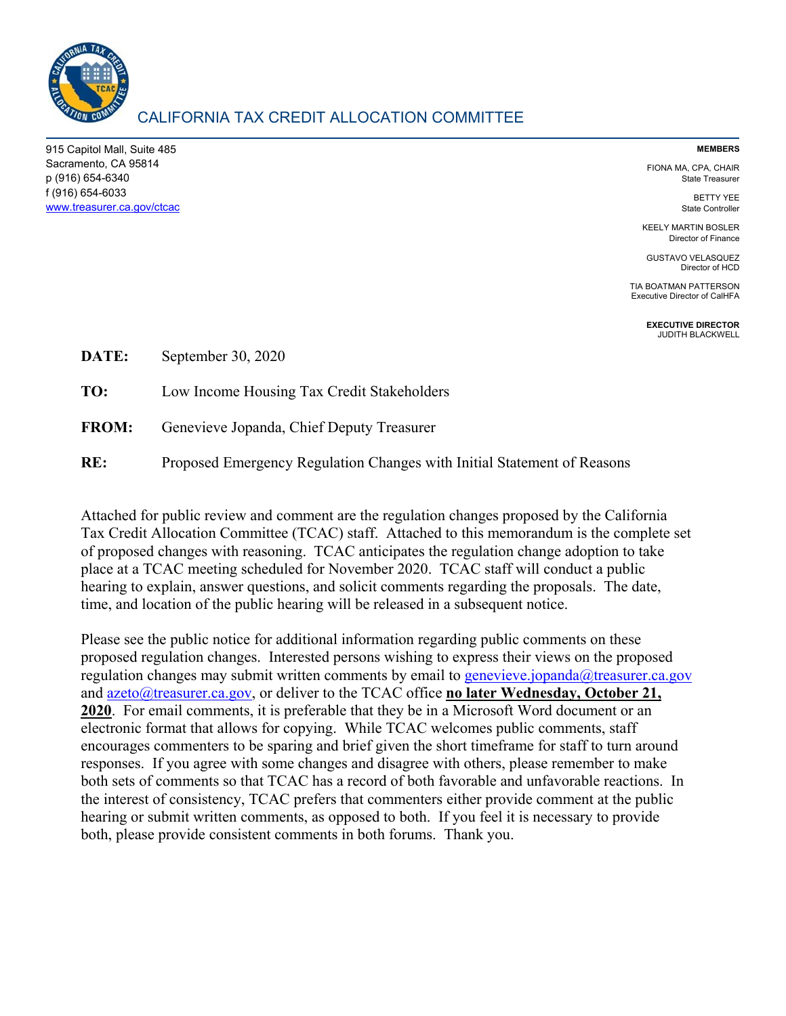

# CALIFORNIA TAX CREDIT ALLOCATION COMMITTEE

915 Capitol Mall, Suite 485 Sacramento, CA 95814 p (916) 654-6340 f (916) 654-6033 www.treasurer.ca.gov/ctcac

#### **MEMBERS**

FIONA MA, CPA, CHAIR State Treasurer

> BETTY YEE State Controller

KEELY MARTIN BOSLER Director of Finance

GUSTAVO VELASQUEZ Director of HCD

TIA BOATMAN PATTERSON Executive Director of CalHFA

> **EXECUTIVE DIRECTOR**  JUDITH BLACKWELL

| <b>DATE:</b> | September 30, 2020                                                      |  |
|--------------|-------------------------------------------------------------------------|--|
| TO:          | Low Income Housing Tax Credit Stakeholders                              |  |
| <b>FROM:</b> | Genevieve Jopanda, Chief Deputy Treasurer                               |  |
| RE:          | Proposed Emergency Regulation Changes with Initial Statement of Reasons |  |

Attached for public review and comment are the regulation changes proposed by the California Tax Credit Allocation Committee (TCAC) staff. Attached to this memorandum is the complete set of proposed changes with reasoning. TCAC anticipates the regulation change adoption to take place at a TCAC meeting scheduled for November 2020. TCAC staff will conduct a public hearing to explain, answer questions, and solicit comments regarding the proposals. The date, time, and location of the public hearing will be released in a subsequent notice.

Please see the public notice for additional information regarding public comments on these proposed regulation changes. Interested persons wishing to express their views on the proposed regulation changes may submit written comments by email to genevieve.jopanda@treasurer.ca.gov and azeto@treasurer.ca.gov, or deliver to the TCAC office **no later Wednesday, October 21, 2020**. For email comments, it is preferable that they be in a Microsoft Word document or an electronic format that allows for copying. While TCAC welcomes public comments, staff encourages commenters to be sparing and brief given the short timeframe for staff to turn around responses. If you agree with some changes and disagree with others, please remember to make both sets of comments so that TCAC has a record of both favorable and unfavorable reactions. In the interest of consistency, TCAC prefers that commenters either provide comment at the public hearing or submit written comments, as opposed to both. If you feel it is necessary to provide both, please provide consistent comments in both forums. Thank you.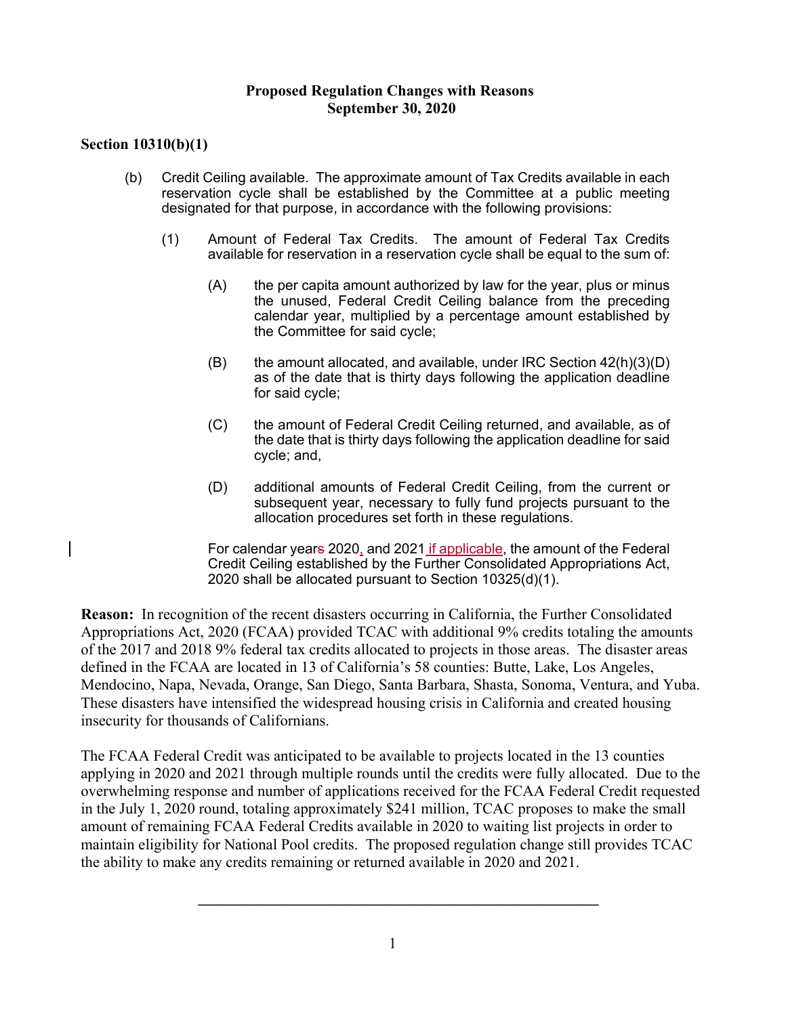### **Proposed Regulation Changes with Reasons September 30, 2020**

## **Section 10310(b)(1)**

- (b) Credit Ceiling available. The approximate amount of Tax Credits available in each reservation cycle shall be established by the Committee at a public meeting designated for that purpose, in accordance with the following provisions:
	- (1) Amount of Federal Tax Credits. The amount of Federal Tax Credits available for reservation in a reservation cycle shall be equal to the sum of:
		- (A) the per capita amount authorized by law for the year, plus or minus the unused, Federal Credit Ceiling balance from the preceding calendar year, multiplied by a percentage amount established by the Committee for said cycle;
		- $(B)$  the amount allocated, and available, under IRC Section  $42(h)(3)(D)$ as of the date that is thirty days following the application deadline for said cycle;
		- (C) the amount of Federal Credit Ceiling returned, and available, as of the date that is thirty days following the application deadline for said cycle; and,
		- (D) additional amounts of Federal Credit Ceiling, from the current or subsequent year, necessary to fully fund projects pursuant to the allocation procedures set forth in these regulations.
		- For calendar years 2020, and 2021 if applicable, the amount of the Federal Credit Ceiling established by the Further Consolidated Appropriations Act, 2020 shall be allocated pursuant to Section 10325(d)(1).

**Reason:** In recognition of the recent disasters occurring in California, the Further Consolidated Appropriations Act, 2020 (FCAA) provided TCAC with additional 9% credits totaling the amounts of the 2017 and 2018 9% federal tax credits allocated to projects in those areas. The disaster areas defined in the FCAA are located in 13 of California's 58 counties: Butte, Lake, Los Angeles, Mendocino, Napa, Nevada, Orange, San Diego, Santa Barbara, Shasta, Sonoma, Ventura, and Yuba. These disasters have intensified the widespread housing crisis in California and created housing insecurity for thousands of Californians.

The FCAA Federal Credit was anticipated to be available to projects located in the 13 counties applying in 2020 and 2021 through multiple rounds until the credits were fully allocated. Due to the overwhelming response and number of applications received for the FCAA Federal Credit requested in the July 1, 2020 round, totaling approximately \$241 million, TCAC proposes to make the small amount of remaining FCAA Federal Credits available in 2020 to waiting list projects in order to maintain eligibility for National Pool credits. The proposed regulation change still provides TCAC the ability to make any credits remaining or returned available in 2020 and 2021.

**\_\_\_\_\_\_\_\_\_\_\_\_\_\_\_\_\_\_\_\_\_\_\_\_\_\_\_\_\_\_\_\_\_\_\_\_\_\_\_\_\_\_\_\_\_\_\_\_\_\_\_\_**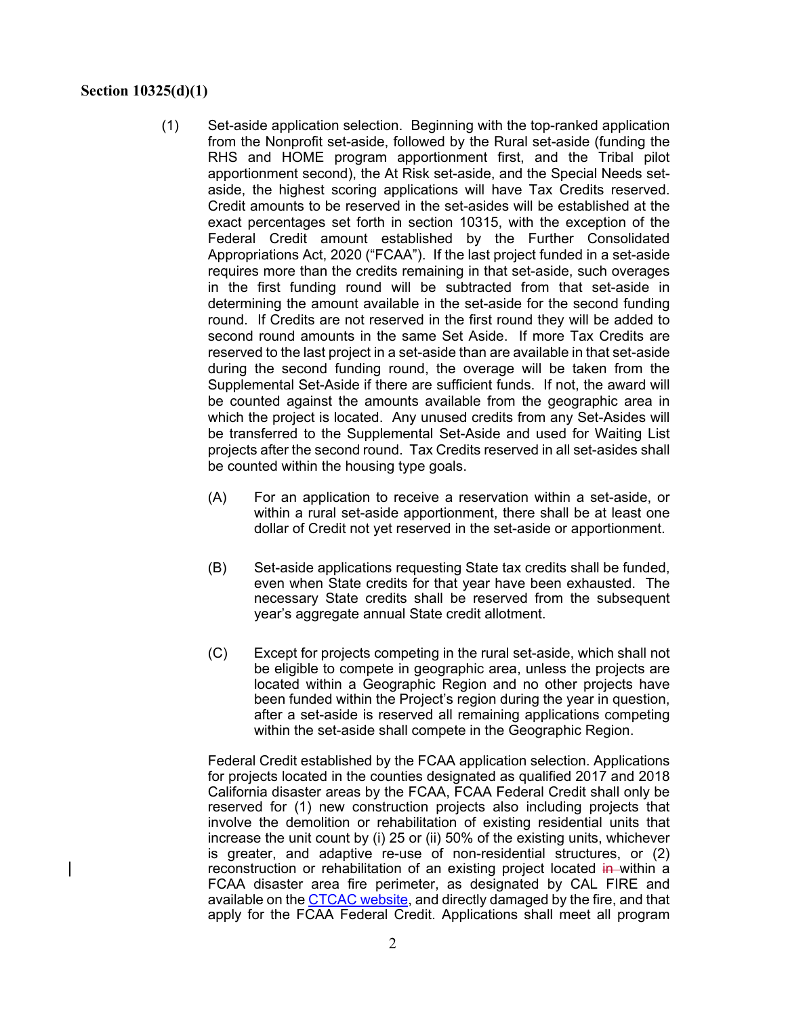#### **Section 10325(d)(1)**

- (1) Set-aside application selection. Beginning with the top-ranked application from the Nonprofit set-aside, followed by the Rural set-aside (funding the RHS and HOME program apportionment first, and the Tribal pilot apportionment second), the At Risk set-aside, and the Special Needs setaside, the highest scoring applications will have Tax Credits reserved. Credit amounts to be reserved in the set-asides will be established at the exact percentages set forth in section 10315, with the exception of the Federal Credit amount established by the Further Consolidated Appropriations Act, 2020 ("FCAA"). If the last project funded in a set-aside requires more than the credits remaining in that set-aside, such overages in the first funding round will be subtracted from that set-aside in determining the amount available in the set-aside for the second funding round. If Credits are not reserved in the first round they will be added to second round amounts in the same Set Aside. If more Tax Credits are reserved to the last project in a set-aside than are available in that set-aside during the second funding round, the overage will be taken from the Supplemental Set-Aside if there are sufficient funds. If not, the award will be counted against the amounts available from the geographic area in which the project is located. Any unused credits from any Set-Asides will be transferred to the Supplemental Set-Aside and used for Waiting List projects after the second round. Tax Credits reserved in all set-asides shall be counted within the housing type goals.
	- (A) For an application to receive a reservation within a set-aside, or within a rural set-aside apportionment, there shall be at least one dollar of Credit not yet reserved in the set-aside or apportionment.
	- (B) Set-aside applications requesting State tax credits shall be funded, even when State credits for that year have been exhausted. The necessary State credits shall be reserved from the subsequent year's aggregate annual State credit allotment.
	- (C) Except for projects competing in the rural set-aside, which shall not be eligible to compete in geographic area, unless the projects are located within a Geographic Region and no other projects have been funded within the Project's region during the year in question, after a set-aside is reserved all remaining applications competing within the set-aside shall compete in the Geographic Region.

Federal Credit established by the FCAA application selection. Applications for projects located in the counties designated as qualified 2017 and 2018 California disaster areas by the FCAA, FCAA Federal Credit shall only be reserved for (1) new construction projects also including projects that involve the demolition or rehabilitation of existing residential units that increase the unit count by (i) 25 or (ii) 50% of the existing units, whichever is greater, and adaptive re-use of non-residential structures, or (2) reconstruction or rehabilitation of an existing project located in within a FCAA disaster area fire perimeter, as designated by CAL FIRE and available on the CTCAC website, and directly damaged by the fire, and that apply for the FCAA Federal Credit. Applications shall meet all program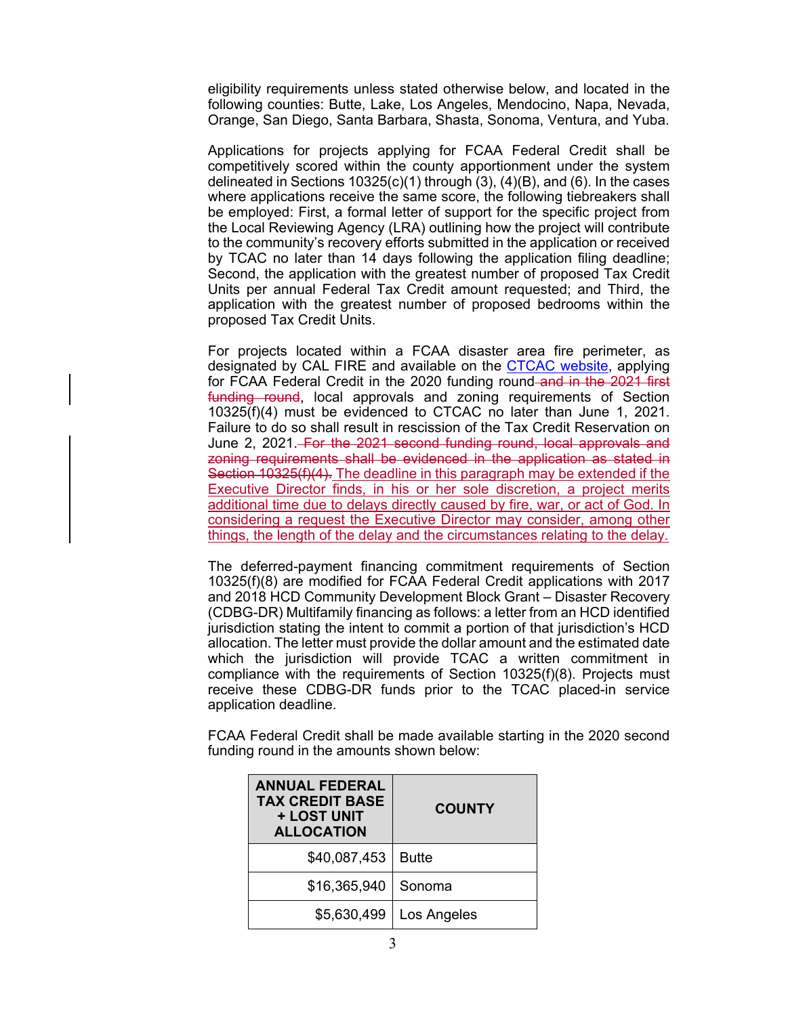eligibility requirements unless stated otherwise below, and located in the following counties: Butte, Lake, Los Angeles, Mendocino, Napa, Nevada, Orange, San Diego, Santa Barbara, Shasta, Sonoma, Ventura, and Yuba.

Applications for projects applying for FCAA Federal Credit shall be competitively scored within the county apportionment under the system delineated in Sections 10325(c)(1) through (3), (4)(B), and (6). In the cases where applications receive the same score, the following tiebreakers shall be employed: First, a formal letter of support for the specific project from the Local Reviewing Agency (LRA) outlining how the project will contribute to the community's recovery efforts submitted in the application or received by TCAC no later than 14 days following the application filing deadline; Second, the application with the greatest number of proposed Tax Credit Units per annual Federal Tax Credit amount requested; and Third, the application with the greatest number of proposed bedrooms within the proposed Tax Credit Units.

For projects located within a FCAA disaster area fire perimeter, as designated by CAL FIRE and available on the **CTCAC website**, applying for FCAA Federal Credit in the 2020 funding round-and in the 2021 first funding round, local approvals and zoning requirements of Section 10325(f)(4) must be evidenced to CTCAC no later than June 1, 2021. Failure to do so shall result in rescission of the Tax Credit Reservation on June 2, 2021. For the 2021 second funding round, local approvals and zoning requirements shall be evidenced in the application as stated in Section 10325(f)(4). The deadline in this paragraph may be extended if the Executive Director finds, in his or her sole discretion, a project merits additional time due to delays directly caused by fire, war, or act of God. In considering a request the Executive Director may consider, among other things, the length of the delay and the circumstances relating to the delay.

The deferred-payment financing commitment requirements of Section 10325(f)(8) are modified for FCAA Federal Credit applications with 2017 and 2018 HCD Community Development Block Grant – Disaster Recovery (CDBG-DR) Multifamily financing as follows: a letter from an HCD identified jurisdiction stating the intent to commit a portion of that jurisdiction's HCD allocation. The letter must provide the dollar amount and the estimated date which the jurisdiction will provide TCAC a written commitment in compliance with the requirements of Section 10325(f)(8). Projects must receive these CDBG-DR funds prior to the TCAC placed-in service application deadline.

FCAA Federal Credit shall be made available starting in the 2020 second funding round in the amounts shown below:

| <b>ANNUAL FEDERAL</b><br><b>TAX CREDIT BASE</b><br>+ LOST UNIT<br><b>ALLOCATION</b> | <b>COUNTY</b> |
|-------------------------------------------------------------------------------------|---------------|
| \$40,087,453                                                                        | <b>Butte</b>  |
| \$16,365,940                                                                        | Sonoma        |
| \$5,630,499                                                                         | Los Angeles   |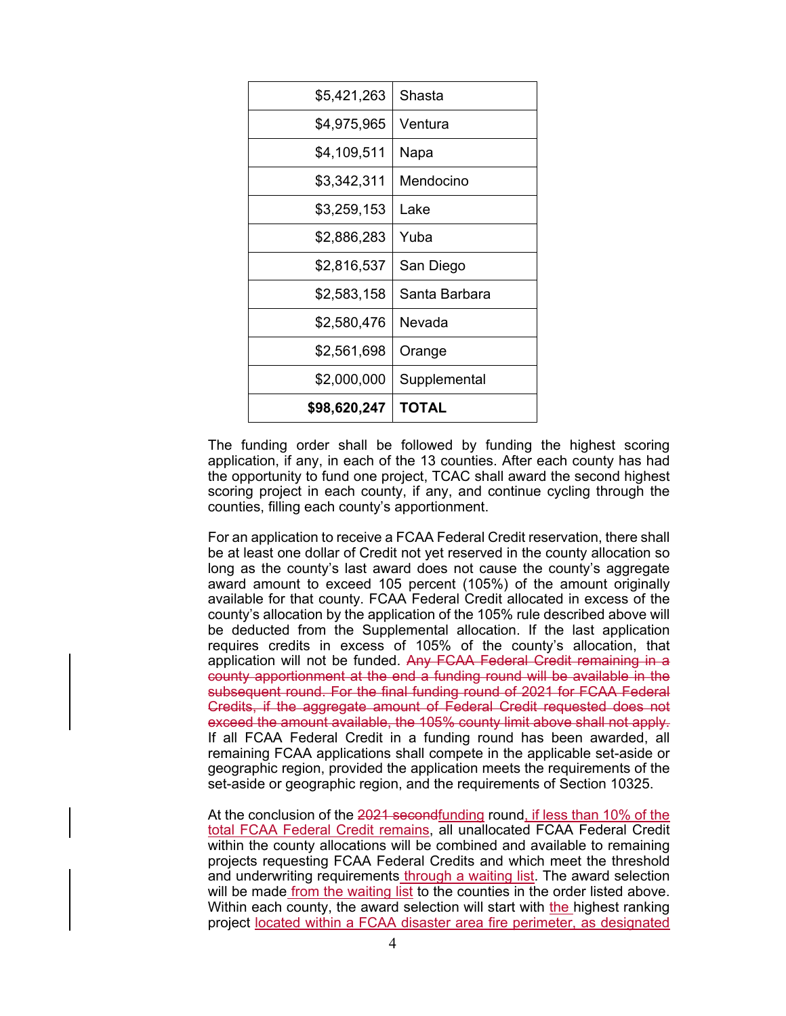| \$5,421,263  | Shasta        |
|--------------|---------------|
| \$4,975,965  | Ventura       |
| \$4,109,511  | Napa          |
| \$3,342,311  | Mendocino     |
| \$3,259,153  | Lake          |
| \$2,886,283  | Yuba          |
| \$2,816,537  | San Diego     |
| \$2,583,158  | Santa Barbara |
| \$2,580,476  | Nevada        |
| \$2,561,698  | Orange        |
| \$2,000,000  | Supplemental  |
| \$98,620,247 | TOTAL         |

The funding order shall be followed by funding the highest scoring application, if any, in each of the 13 counties. After each county has had the opportunity to fund one project, TCAC shall award the second highest scoring project in each county, if any, and continue cycling through the counties, filling each county's apportionment.

For an application to receive a FCAA Federal Credit reservation, there shall be at least one dollar of Credit not yet reserved in the county allocation so long as the county's last award does not cause the county's aggregate award amount to exceed 105 percent (105%) of the amount originally available for that county. FCAA Federal Credit allocated in excess of the county's allocation by the application of the 105% rule described above will be deducted from the Supplemental allocation. If the last application requires credits in excess of 105% of the county's allocation, that application will not be funded. Any FCAA Federal Credit remaining in a county apportionment at the end a funding round will be available in the subsequent round. For the final funding round of 2021 for FCAA Federal Credits, if the aggregate amount of Federal Credit requested does not exceed the amount available, the 105% county limit above shall not apply. If all FCAA Federal Credit in a funding round has been awarded, all remaining FCAA applications shall compete in the applicable set-aside or geographic region, provided the application meets the requirements of the set-aside or geographic region, and the requirements of Section 10325.

At the conclusion of the 2021 secondfunding round, if less than 10% of the total FCAA Federal Credit remains, all unallocated FCAA Federal Credit within the county allocations will be combined and available to remaining projects requesting FCAA Federal Credits and which meet the threshold and underwriting requirements through a waiting list. The award selection will be made from the waiting list to the counties in the order listed above. Within each county, the award selection will start with the highest ranking project located within a FCAA disaster area fire perimeter, as designated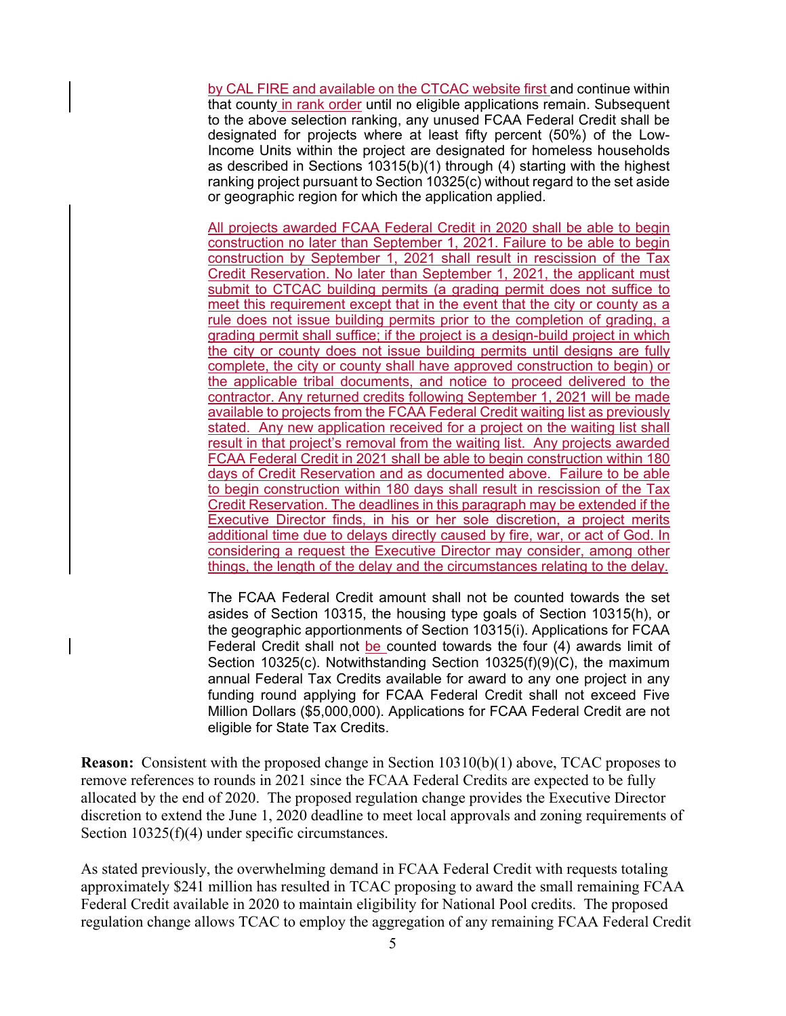by CAL FIRE and available on the CTCAC website first and continue within that county in rank order until no eligible applications remain. Subsequent to the above selection ranking, any unused FCAA Federal Credit shall be designated for projects where at least fifty percent (50%) of the Low-Income Units within the project are designated for homeless households as described in Sections 10315(b)(1) through (4) starting with the highest ranking project pursuant to Section 10325(c) without regard to the set aside or geographic region for which the application applied.

All projects awarded FCAA Federal Credit in 2020 shall be able to begin construction no later than September 1, 2021. Failure to be able to begin construction by September 1, 2021 shall result in rescission of the Tax Credit Reservation. No later than September 1, 2021, the applicant must submit to CTCAC building permits (a grading permit does not suffice to meet this requirement except that in the event that the city or county as a rule does not issue building permits prior to the completion of grading, a grading permit shall suffice; if the project is a design-build project in which the city or county does not issue building permits until designs are fully complete, the city or county shall have approved construction to begin) or the applicable tribal documents, and notice to proceed delivered to the contractor. Any returned credits following September 1, 2021 will be made available to projects from the FCAA Federal Credit waiting list as previously stated. Any new application received for a project on the waiting list shall result in that project's removal from the waiting list. Any projects awarded FCAA Federal Credit in 2021 shall be able to begin construction within 180 days of Credit Reservation and as documented above. Failure to be able to begin construction within 180 days shall result in rescission of the Tax Credit Reservation. The deadlines in this paragraph may be extended if the Executive Director finds, in his or her sole discretion, a project merits additional time due to delays directly caused by fire, war, or act of God. In considering a request the Executive Director may consider, among other things, the length of the delay and the circumstances relating to the delay.

The FCAA Federal Credit amount shall not be counted towards the set asides of Section 10315, the housing type goals of Section 10315(h), or the geographic apportionments of Section 10315(i). Applications for FCAA Federal Credit shall not be counted towards the four (4) awards limit of Section 10325(c). Notwithstanding Section 10325(f)(9)(C), the maximum annual Federal Tax Credits available for award to any one project in any funding round applying for FCAA Federal Credit shall not exceed Five Million Dollars (\$5,000,000). Applications for FCAA Federal Credit are not eligible for State Tax Credits.

**Reason:** Consistent with the proposed change in Section 10310(b)(1) above, TCAC proposes to remove references to rounds in 2021 since the FCAA Federal Credits are expected to be fully allocated by the end of 2020. The proposed regulation change provides the Executive Director discretion to extend the June 1, 2020 deadline to meet local approvals and zoning requirements of Section  $10325(f)(4)$  under specific circumstances.

As stated previously, the overwhelming demand in FCAA Federal Credit with requests totaling approximately \$241 million has resulted in TCAC proposing to award the small remaining FCAA Federal Credit available in 2020 to maintain eligibility for National Pool credits. The proposed regulation change allows TCAC to employ the aggregation of any remaining FCAA Federal Credit